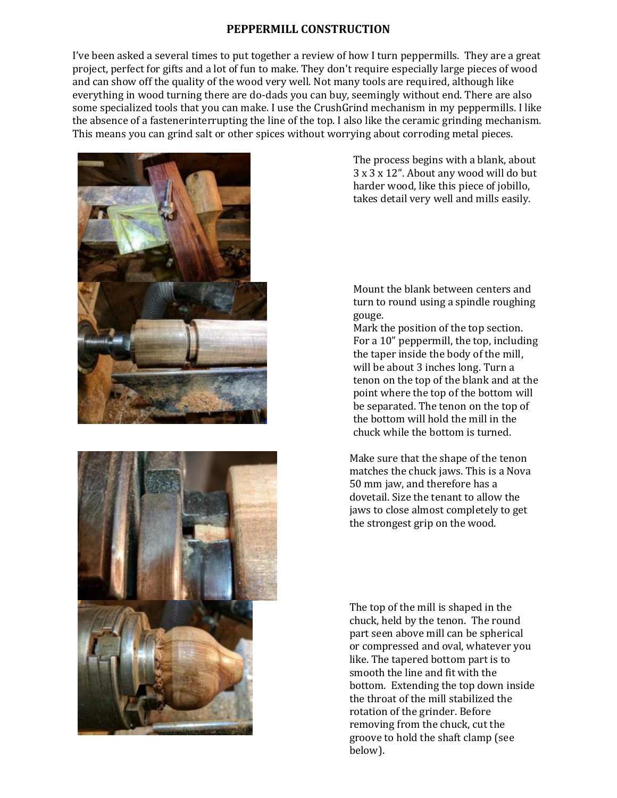## **PEPPERMILL CONSTRUCTION**

I've been asked a several times to put together a review of how I turn peppermills. They are a great project, perfect for gifts and a lot of fun to make. They don't require especially large pieces of wood and can show off the quality of the wood very well. Not many tools are required, although like everything in wood turning there are do-dads you can buy, seemingly without end. There are also some specialized tools that you can make. I use the CrushGrind mechanism in my peppermills. I like the absence of a fastenerinterrupting the line of the top. I also like the ceramic grinding mechanism. This means you can grind salt or other spices without worrying about corroding metal pieces.





The process begins with a blank, about 3 x 3 x 12". About any wood will do but harder wood, like this piece of jobillo, takes detail very well and mills easily.

Mount the blank between centers and turn to round using a spindle roughing gouge.

Mark the position of the top section. For a 10" peppermill, the top, including the taper inside the body of the mill, will be about 3 inches long. Turn a tenon on the top of the blank and at the point where the top of the bottom will be separated. The tenon on the top of the bottom will hold the mill in the chuck while the bottom is turned.

Make sure that the shape of the tenon matches the chuck jaws. This is a Nova 50 mm jaw, and therefore has a dovetail. Size the tenant to allow the jaws to close almost completely to get the strongest grip on the wood.

The top of the mill is shaped in the chuck, held by the tenon. The round part seen above mill can be spherical or compressed and oval, whatever you like. The tapered bottom part is to smooth the line and fit with the bottom. Extending the top down inside the throat of the mill stabilized the rotation of the grinder. Before removing from the chuck, cut the groove to hold the shaft clamp (see below).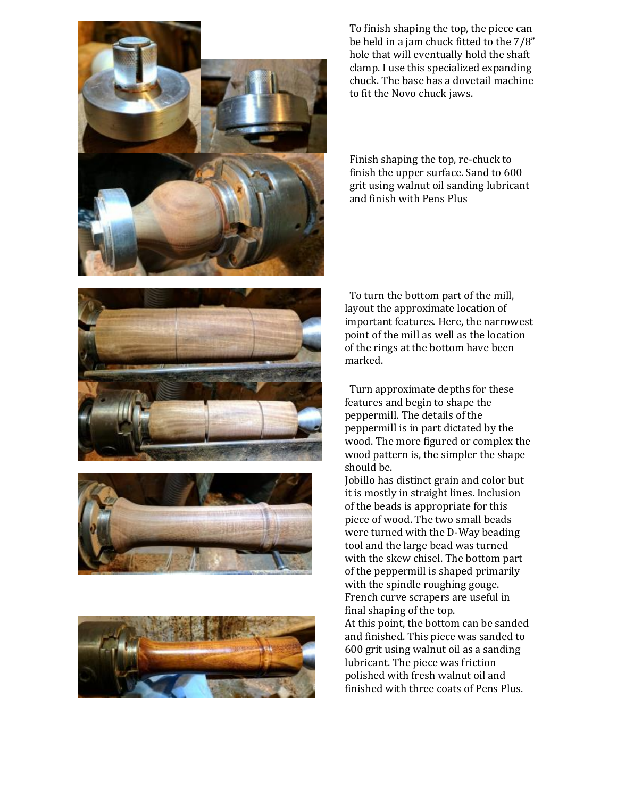







To finish shaping the top, the piece can be held in a jam chuck fitted to the 7/8" hole that will eventually hold the shaft clamp. I use this specialized expanding chuck. The base has a dovetail machine to fit the Novo chuck jaws.

Finish shaping the top, re-chuck to finish the upper surface. Sand to 600 grit using walnut oil sanding lubricant and finish with Pens Plus

To turn the bottom part of the mill, layout the approximate location of important features. Here, the narrowest point of the mill as well as the location of the rings at the bottom have been marked.

Turn approximate depths for these features and begin to shape the peppermill. The details of the peppermill is in part dictated by the wood. The more figured or complex the wood pattern is, the simpler the shape should be.

Jobillo has distinct grain and color but it is mostly in straight lines. Inclusion of the beads is appropriate for this piece of wood. The two small beads were turned with the D-Way beading tool and the large bead was turned with the skew chisel. The bottom part of the peppermill is shaped primarily with the spindle roughing gouge. French curve scrapers are useful in final shaping of the top. At this point, the bottom can be sanded

and finished. This piece was sanded to 600 grit using walnut oil as a sanding lubricant. The piece was friction polished with fresh walnut oil and finished with three coats of Pens Plus.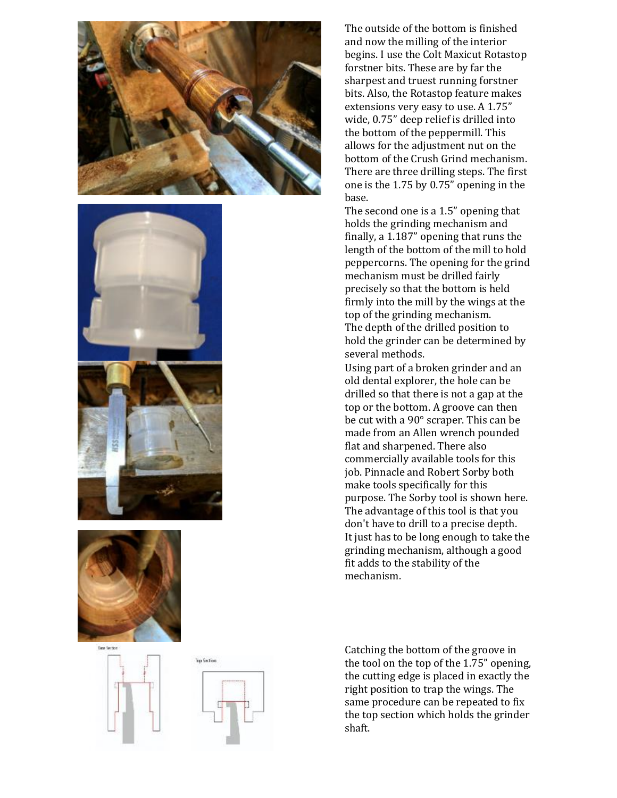









The outside of the bottom is finished and now the milling of the interior begins. I use the Colt Maxicut Rotastop forstner bits. These are by far the sharpest and truest running forstner bits. Also, the Rotastop feature makes extensions very easy to use. A 1.75" wide, 0.75" deep relief is drilled into the bottom of the peppermill. This allows for the adjustment nut on the bottom of the Crush Grind mechanism. There are three drilling steps. The first one is the 1.75 by 0.75" opening in the base.

The second one is a 1.5" opening that holds the grinding mechanism and finally, a 1.187" opening that runs the length of the bottom of the mill to hold peppercorns. The opening for the grind mechanism must be drilled fairly precisely so that the bottom is held firmly into the mill by the wings at the top of the grinding mechanism. The depth of the drilled position to hold the grinder can be determined by several methods.

Using part of a broken grinder and an old dental explorer, the hole can be drilled so that there is not a gap at the top or the bottom. A groove can then be cut with a 90° scraper. This can be made from an Allen wrench pounded flat and sharpened. There also commercially available tools for this job. Pinnacle and Robert Sorby both make tools specifically for this purpose. The Sorby tool is shown here. The advantage of this tool is that you don't have to drill to a precise depth. It just has to be long enough to take the grinding mechanism, although a good fit adds to the stability of the mechanism.

Catching the bottom of the groove in the tool on the top of the 1.75" opening, the cutting edge is placed in exactly the right position to trap the wings. The same procedure can be repeated to fix the top section which holds the grinder shaft.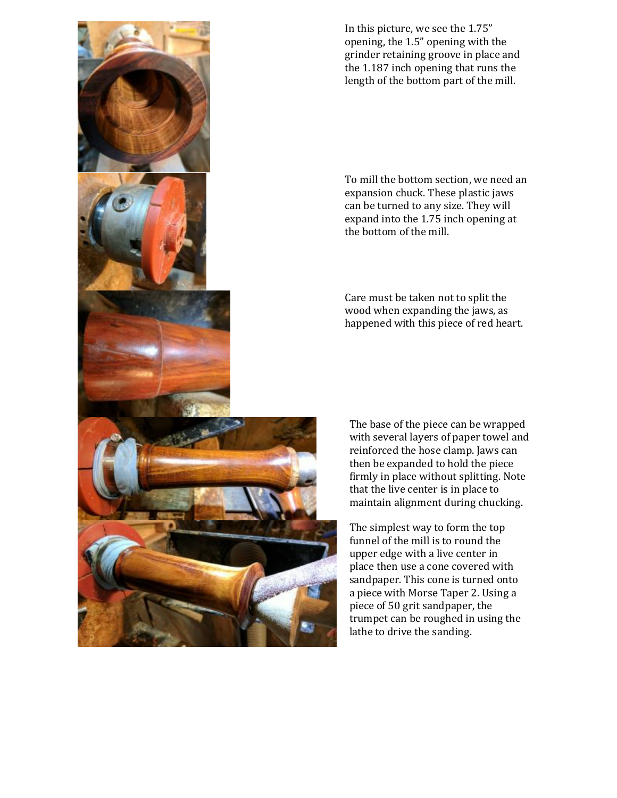

To mill the bottom section, we need an expansion chuck. These plastic jaws can be turned to any size. They will expand into the 1.75 inch opening at the bottom of the mill.

Care must be taken not to split the wood when expanding the jaws, as happened with this piece of red heart.

The base of the piece can be wrapped with several layers of paper towel and reinforced the hose clamp. Jaws can then be expanded to hold the piece firmly in place without splitting. Note that the live center is in place to maintain alignment during chucking.

The simplest way to form the top funnel of the mill is to round the upper edge with a live center in place then use a cone covered with sandpaper. This cone is turned onto a piece with Morse Taper 2. Using a piece of 50 grit sandpaper, the trumpet can be roughed in using the lathe to drive the sanding.

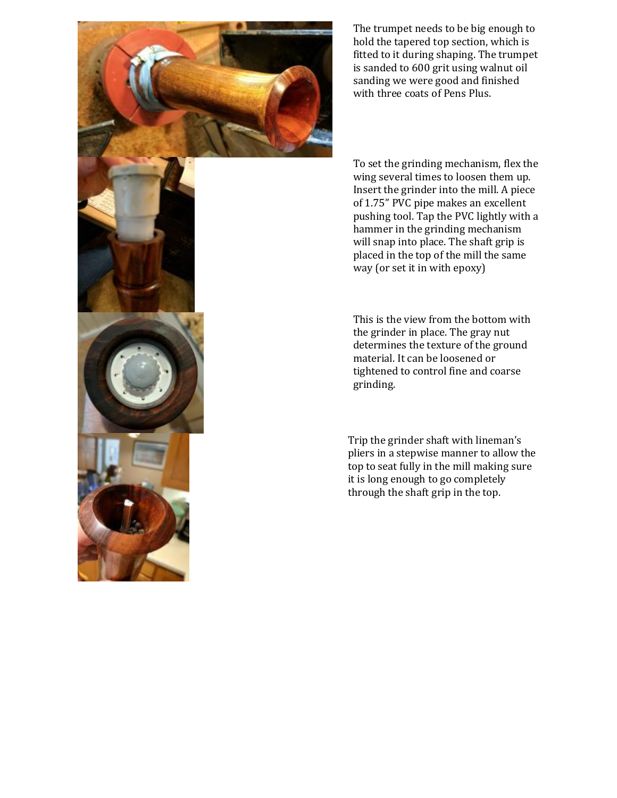

The trumpet needs to be big enough to hold the tapered top section, which is fitted to it during shaping. The trumpet is sanded to 600 grit using walnut oil sanding we were good and finished with three coats of Pens Plus.

To set the grinding mechanism, flex the wing several times to loosen them up. Insert the grinder into the mill. A piece of 1.75" PVC pipe makes an excellent pushing tool. Tap the PVC lightly with a hammer in the grinding mechanism will snap into place. The shaft grip is placed in the top of the mill the same way (or set it in with epoxy)

This is the view from the bottom with the grinder in place. The gray nut determines the texture of the ground material. It can be loosened or tightened to control fine and coarse grinding.

Trip the grinder shaft with lineman's pliers in a stepwise manner to allow the top to seat fully in the mill making sure it is long enough to go completely through the shaft grip in the top.